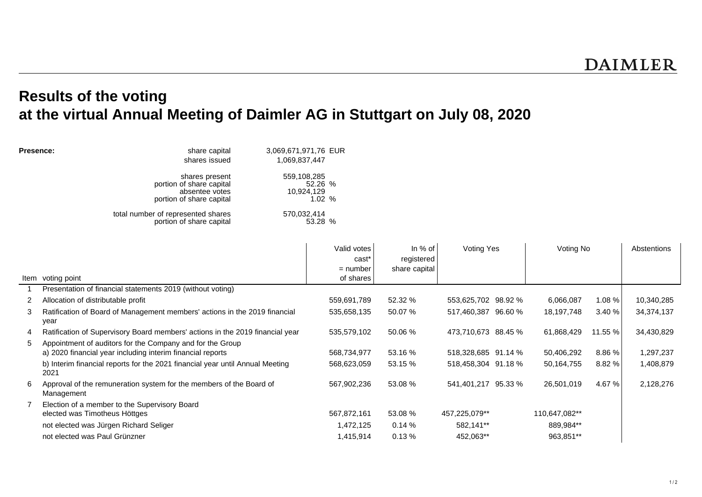## **Results of the voting at the virtual Annual Meeting of Daimler AG in Stuttgart on July 08, 2020**

| Presence: | share capital                      | 3,069,671,971,76 EUR |   |   |               |
|-----------|------------------------------------|----------------------|---|---|---------------|
|           | shares issued                      | 1,069,837,447        |   |   |               |
|           | shares present                     | 559,108,285          |   |   |               |
|           | portion of share capital           | 52.26 %              |   |   |               |
|           | absentee votes                     | 10,924,129           |   |   |               |
|           | portion of share capital           | 1.02%                |   |   |               |
|           | total number of represented shares | 570,032,414          |   |   |               |
|           | portion of share capital           | 53.28 %              |   |   |               |
|           |                                    |                      |   |   |               |
|           |                                    |                      | . | . | $\sim$ $\sim$ |

|   | Item voting point                                                                                                       | Valid votes<br>cast<br>$=$ number<br>of shares | In $%$ of<br>registered<br>share capital | Voting Yes          | Voting No     |         | Abstentions |
|---|-------------------------------------------------------------------------------------------------------------------------|------------------------------------------------|------------------------------------------|---------------------|---------------|---------|-------------|
|   | Presentation of financial statements 2019 (without voting)                                                              |                                                |                                          |                     |               |         |             |
|   | 2 Allocation of distributable profit                                                                                    | 559,691,789                                    | 52.32 %                                  | 553,625,702 98.92 % | 6,066,087     | 1.08 %  | 10,340,285  |
| 3 | Ratification of Board of Management members' actions in the 2019 financial<br>year                                      | 535,658,135                                    | 50.07 %                                  | 517,460,387 96.60 % | 18,197,748    | 3.40%   | 34,374,137  |
| 4 | Ratification of Supervisory Board members' actions in the 2019 financial year                                           | 535,579,102                                    | 50.06 %                                  | 473,710,673 88.45 % | 61,868,429    | 11.55 % | 34,430,829  |
| 5 | Appointment of auditors for the Company and for the Group<br>a) 2020 financial year including interim financial reports | 568,734,977                                    | 53.16 %                                  | 518,328,685 91.14 % | 50,406,292    | 8.86 %  | 1,297,237   |
|   | b) Interim financial reports for the 2021 financial year until Annual Meeting<br>2021                                   | 568,623,059                                    | 53.15 %                                  | 518,458,304 91.18 % | 50,164,755    | 8.82 %  | 1,408,879   |
| 6 | Approval of the remuneration system for the members of the Board of<br>Management                                       | 567,902,236                                    | 53.08 %                                  | 541,401,217 95.33 % | 26,501,019    | 4.67 %  | 2,128,276   |
|   | Election of a member to the Supervisory Board                                                                           |                                                |                                          |                     |               |         |             |
|   | elected was Timotheus Höttges                                                                                           | 567,872,161                                    | 53.08 %                                  | 457,225,079**       | 110,647,082** |         |             |
|   | not elected was Jürgen Richard Seliger                                                                                  | 1,472,125                                      | 0.14%                                    | 582,141**           | 889,984**     |         |             |
|   | not elected was Paul Grünzner                                                                                           | 1,415,914                                      | 0.13%                                    | 452,063**           | 963,851**     |         |             |